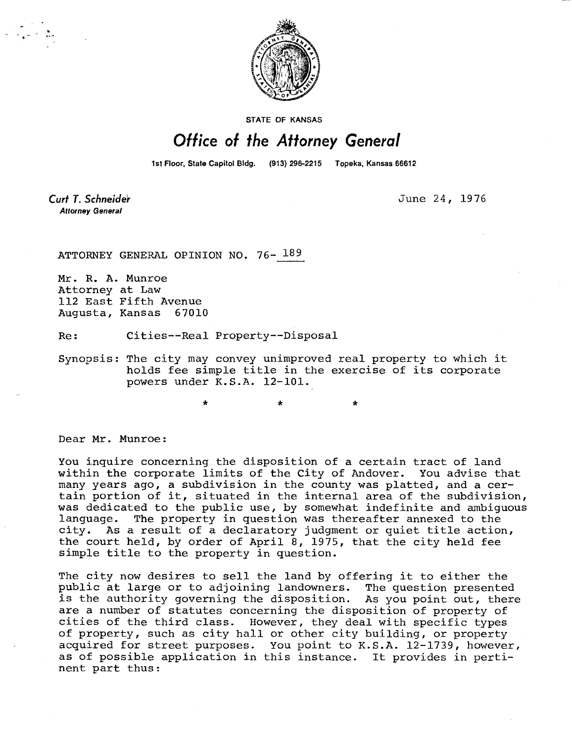

**STATE OF KANSAS** 

## Office of the Attorney General

1st Floor, State Capitol Bldg. (913) 296-2215 Topeka, Kansas 66612

Curt T. Schneider **Attorney General** 

June 24, 1976

ATTORNEY GENERAL OPINION NO. 76- 189

Mr. R. A. Munroe Attorney at Law 112 East Fifth Avenue Augusta, Kansas 67010

Re: Cities--Real Property--Disposal

Synopsis: The city may convey unimproved real property to which it holds fee simple title in the exercise of its corporate powers under K.S.A. 12-101.

Dear Mr. Munroe:

You inquire concerning the disposition of a certain tract of land within the corporate limits of the City of Andover. You advise that many years ago, a subdivision in the county was platted, and a certain portion of it, situated in the internal area of the subdivision, was dedicated to the public use, by somewhat indefinite and ambiguous language. The property in question was thereafter annexed to the city. As a result of a declaratory judgment or quiet title action, the court held, by order of April 8, 1975, that the city held fee simple title to the property in question.

The city now desires to sell the land by offering it to either the public at large or to adjoining landowners. The question presented is the authority governing the disposition. As you point out, there are a number of statutes concerning the disposition of property of cities of the third class. However, they deal with specific types of property, such as city hall or other city building, or property acquired for street purposes. You point to K.S.A. 12-1739, however, as of possible application in this instance. It provides in pertinent part thus: